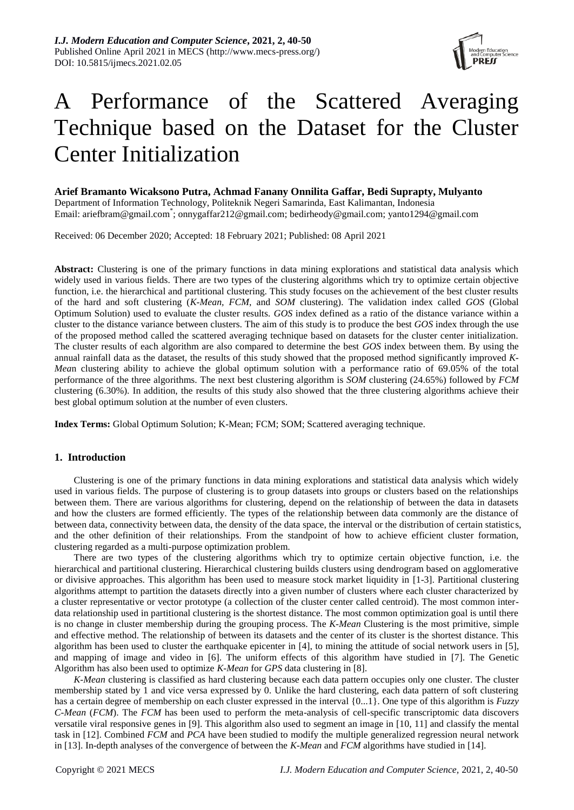

# A Performance of the Scattered Averaging Technique based on the Dataset for the Cluster Center Initialization

**Arief Bramanto Wicaksono Putra, Achmad Fanany Onnilita Gaffar, Bedi Suprapty, Mulyanto** Department of Information Technology, Politeknik Negeri Samarinda, East Kalimantan, Indonesia Email: [ariefbram@gmail.com](mailto:ariefbram@gmail.com)\* ; [onnygaffar212@gmail.com;](mailto:onnygaffar212@gmail.com) [bedirheody@gmail.com;](mailto:bedirheody@gmail.com) yanto1294@gmail.com

Received: 06 December 2020; Accepted: 18 February 2021; Published: 08 April 2021

**Abstract:** Clustering is one of the primary functions in data mining explorations and statistical data analysis which widely used in various fields. There are two types of the clustering algorithms which try to optimize certain objective function, i.e. the hierarchical and partitional clustering. This study focuses on the achievement of the best cluster results of the hard and soft clustering (*K-Mean, FCM*, and *SOM* clustering). The validation index called *GOS* (Global Optimum Solution) used to evaluate the cluster results. *GOS* index defined as a ratio of the distance variance within a cluster to the distance variance between clusters. The aim of this study is to produce the best *GOS* index through the use of the proposed method called the scattered averaging technique based on datasets for the cluster center initialization. The cluster results of each algorithm are also compared to determine the best *GOS* index between them. By using the annual rainfall data as the dataset, the results of this study showed that the proposed method significantly improved *K-Mea*n clustering ability to achieve the global optimum solution with a performance ratio of 69.05% of the total performance of the three algorithms. The next best clustering algorithm is *SOM* clustering (24.65%) followed by *FCM* clustering (6.30%). In addition, the results of this study also showed that the three clustering algorithms achieve their best global optimum solution at the number of even clusters.

**Index Terms:** Global Optimum Solution; K-Mean; FCM; SOM; Scattered averaging technique.

# **1. Introduction**

Clustering is one of the primary functions in data mining explorations and statistical data analysis which widely used in various fields. The purpose of clustering is to group datasets into groups or clusters based on the relationships between them. There are various algorithms for clustering, depend on the relationship of between the data in datasets and how the clusters are formed efficiently. The types of the relationship between data commonly are the distance of between data, connectivity between data, the density of the data space, the interval or the distribution of certain statistics, and the other definition of their relationships. From the standpoint of how to achieve efficient cluster formation, clustering regarded as a multi-purpose optimization problem.

There are two types of the clustering algorithms which try to optimize certain objective function, i.e. the hierarchical and partitional clustering. Hierarchical clustering builds clusters using dendrogram based on agglomerative or divisive approaches. This algorithm has been used to measure stock market liquidity in [\[1-3\]](#page-8-0). Partitional clustering algorithms attempt to partition the datasets directly into a given number of clusters where each cluster characterized by a cluster representative or vector prototype (a collection of the cluster center called centroid). The most common interdata relationship used in partitional clustering is the shortest distance. The most common optimization goal is until there is no change in cluster membership during the grouping process. The *K-Mean* Clustering is the most primitive, simple and effective method. The relationship of between its datasets and the center of its cluster is the shortest distance. This algorithm has been used to cluster the earthquake epicenter in [\[4\]](#page-8-1), to mining the attitude of social network users in [\[5\]](#page-8-2), and mapping of image and video in [\[6\]](#page-8-3). The uniform effects of this algorithm have studied in [\[7\]](#page-8-4). The Genetic Algorithm has also been used to optimize *K-Mean* for *GPS* data clustering in [\[8\]](#page-8-5).

*K-Mean* clustering is classified as hard clustering because each data pattern occupies only one cluster. The cluster membership stated by 1 and vice versa expressed by 0. Unlike the hard clustering, each data pattern of soft clustering has a certain degree of membership on each cluster expressed in the interval {0...1}. One type of this algorithm is *Fuzzy C-Mean* (*FCM*). The *FCM* has been used to perform the meta-analysis of cell-specific transcriptomic data discovers versatile viral responsive genes in [\[9\]](#page-8-6). This algorithm also used to segment an image in [\[10,](#page-8-7) [11\]](#page-8-8) and classify the mental task in [\[12\]](#page-8-9). Combined *FCM* and *PCA* have been studied to modify the multiple generalized regression neural network in [\[13\]](#page-8-10). In-depth analyses of the convergence of between the *K-Mean* and *FCM* algorithms have studied in [\[14\]](#page-8-11).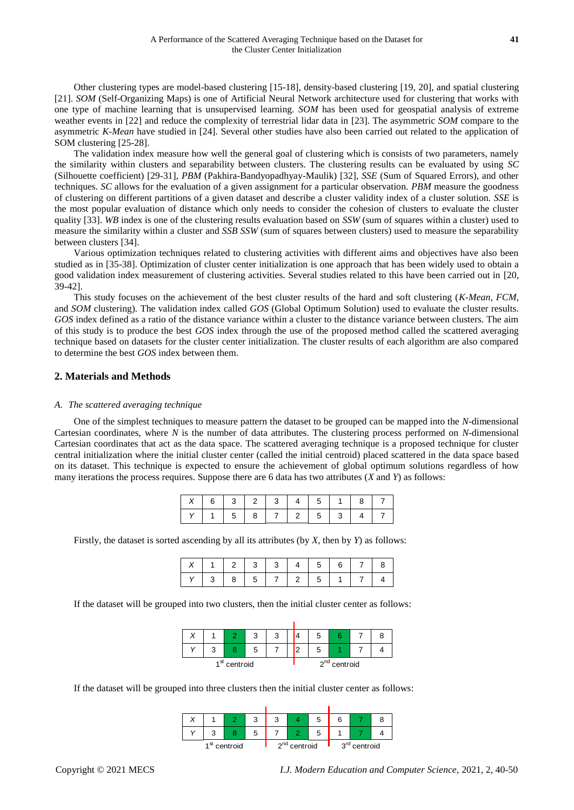Other clustering types are model-based clustering [\[15-18\]](#page-8-12), density-based clustering [\[19,](#page-8-13) [20\]](#page-8-14), and spatial clustering [\[21\]](#page-8-15). *SOM* (Self-Organizing Maps) is one of Artificial Neural Network architecture used for clustering that works with one type of machine learning that is unsupervised learning. *SOM* has been used for geospatial analysis of extreme weather events in [\[22\]](#page-8-16) and reduce the complexity of terrestrial lidar data in [\[23\]](#page-8-17). The asymmetric *SOM* compare to the asymmetric *K-Mean* have studied in [\[24\]](#page-9-0). Several other studies have also been carried out related to the application of SOM clustering [\[25-28\]](#page-9-1).

The validation index measure how well the general goal of clustering which is consists of two parameters, namely the similarity within clusters and separability between clusters. The clustering results can be evaluated by using *SC* (Silhouette coefficient) [\[29-31\]](#page-9-2), *PBM* (Pakhira-Bandyopadhyay-Maulik) [\[32\]](#page-9-3), *SSE* (Sum of Squared Errors), and other techniques. *SC* allows for the evaluation of a given assignment for a particular observation. *PBM* measure the goodness of clustering on different partitions of a given dataset and describe a cluster validity index of a cluster solution. *SSE* is the most popular evaluation of distance which only needs to consider the cohesion of clusters to evaluate the cluster quality [\[33\]](#page-9-4). *WB* index is one of the clustering results evaluation based on *SSW* (sum of squares within a cluster) used to measure the similarity within a cluster and *SSB SSW* (sum of squares between clusters) used to measure the separability between clusters [\[34\]](#page-9-5).

Various optimization techniques related to clustering activities with different aims and objectives have also been studied as in [\[35-38\]](#page-9-6). Optimization of cluster center initialization is one approach that has been widely used to obtain a good validation index measurement of clustering activities. Several studies related to this have been carried out in [\[20,](#page-8-14) [39-42\]](#page-9-7).

This study focuses on the achievement of the best cluster results of the hard and soft clustering (*K-Mean, FCM*, and *SOM* clustering). The validation index called *GOS* (Global Optimum Solution) used to evaluate the cluster results. *GOS* index defined as a ratio of the distance variance within a cluster to the distance variance between clusters. The aim of this study is to produce the best *GOS* index through the use of the proposed method called the scattered averaging technique based on datasets for the cluster center initialization. The cluster results of each algorithm are also compared to determine the best *GOS* index between them.

# **2. Materials and Methods**

### *A. The scattered averaging technique*

One of the simplest techniques to measure pattern the dataset to be grouped can be mapped into the *N*-dimensional Cartesian coordinates, where *N* is the number of data attributes. The clustering process performed on *N*-dimensional Cartesian coordinates that act as the data space. The scattered averaging technique is a proposed technique for cluster central initialization where the initial cluster center (called the initial centroid) placed scattered in the data space based on its dataset. This technique is expected to ensure the achievement of global optimum solutions regardless of how many iterations the process requires. Suppose there are 6 data has two attributes (*X* and *Y*) as follows:

|  |  |  | 6   3   2   3   4   5   1   8 |  |
|--|--|--|-------------------------------|--|
|  |  |  | 158772534                     |  |

Firstly, the dataset is sorted ascending by all its attributes (by *X*, then by *Y*) as follows:

|  | 1 1 2 3 3 3 4 5 6 7       |  |  |  |  |
|--|---------------------------|--|--|--|--|
|  | 3   8   5   7   2   5   1 |  |  |  |  |

If the dataset will be grouped into two clusters, then the initial cluster center as follows:

|  |                          | J |  | ≎              |  |  |  |
|--|--------------------------|---|--|----------------|--|--|--|
|  |                          |   |  | ≎              |  |  |  |
|  | 1 <sup>st</sup> centroid |   |  | $2nd$ centroid |  |  |  |

If the dataset will be grouped into three clusters then the initial cluster center as follows:

|  |                          | ີ<br>w |                | G | 6                        |  |  |  |
|--|--------------------------|--------|----------------|---|--------------------------|--|--|--|
|  |                          | G      |                |   |                          |  |  |  |
|  | 1 <sup>st</sup> centroid |        | $2nd$ centroid |   | 3 <sup>rd</sup> centroid |  |  |  |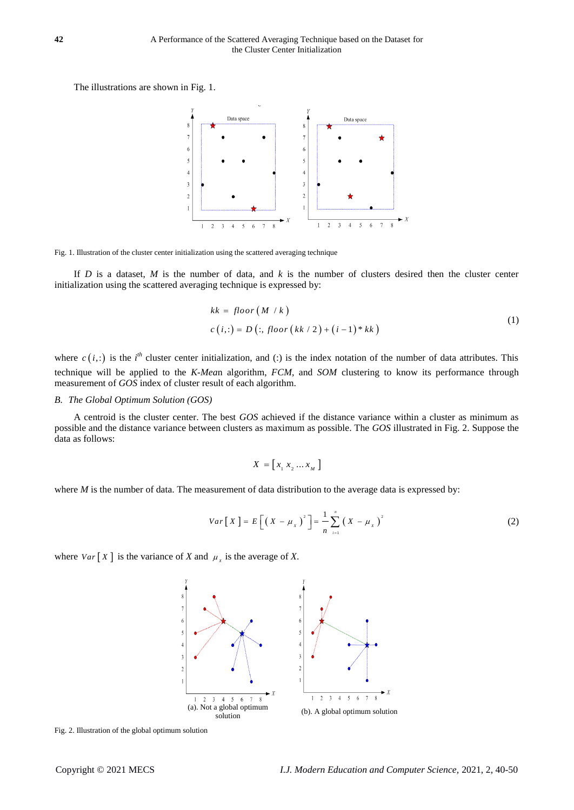The illustrations are shown in [Fig. 1.](#page-2-0)



<span id="page-2-0"></span>Fig. 1. Illustration of the cluster center initialization using the scattered averaging technique

If *D* is a dataset, *M* is the number of data, and  $k$  is the number of clusters desired then the cluster center initialization using the scattered averaging technique is expressed by:

$$
kk = floor(M/k)
$$
  
\n
$$
c(i,:) = D(:,floor(kk/2) + (i-1)*kk)
$$
\n(1)

where  $c(i,:)$  is the *i*<sup>th</sup> cluster center initialization, and (:) is the index notation of the number of data attributes. This technique will be applied to the *K-Mea*n algorithm, *FCM*, and *SOM* clustering to know its performance through measurement of *GOS* index of cluster result of each algorithm.

### *B. The Global Optimum Solution (GOS)*

A centroid is the cluster center. The best *GOS* achieved if the distance variance within a cluster as minimum as possible and the distance variance between clusters as maximum as possible. The *GOS* illustrated in [Fig. 2.](#page-2-1) Suppose the data as follows:

$$
X = \left[ \begin{array}{c} x_1 \ x_2 \dots x_M \end{array} \right]
$$

where *M* is the number of data. The measurement of data distribution to the average data is expressed by:

$$
Var[X] = E\left[\left(X - \mu_{X}\right)^{2}\right] = \frac{1}{n} \sum_{i=1}^{n} \left(X - \mu_{X}\right)^{2}
$$
\n(2)

where  $Var[X]$  is the variance of *X* and  $\mu_x$  is the average of *X*.



<span id="page-2-1"></span>Fig. 2. Illustration of the global optimum solution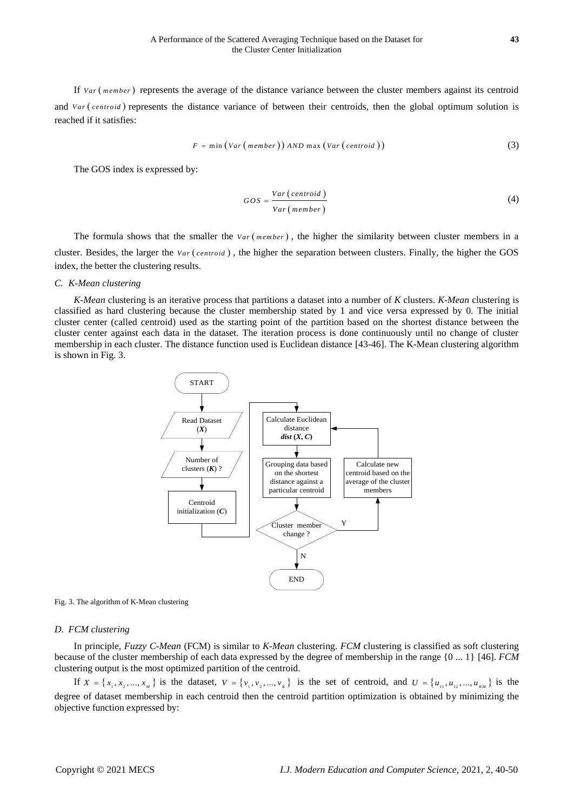If Var (member) represents the average of the distance variance between the cluster members against its centroid and  $Var(centroid)$  represents the distance variance of between their centroids, then the global optimum solution is reached if it satisfies:

$$
F = \min\left(Var\left(\text{member}\right)\right)AND\max\left(Var\left(\text{ centroid}\right)\right)\tag{3}
$$

The GOS index is expressed by:

$$
GOS = \frac{Var\left(\text{centroid}\right)}{Var\left(\text{member}\right)}\tag{4}
$$

The formula shows that the smaller the  $Var(member)$ , the higher the similarity between cluster members in a cluster. Besides, the larger the *Var* (*centroid*), the higher the separation between clusters. Finally, the higher the GOS index, the better the clustering results.

### *C. K-Mean clustering*

*K*-*Mean* clustering is an iterative process that partitions a dataset into a number of *K* clusters. *K*-*Mean* clustering is classified as hard clustering because the cluster membership stated by 1 and vice versa expressed by 0. The initial cluster center (called centroid) used as the starting point of the partition based on the shortest distance between the cluster center against each data in the dataset. The iteration process is done continuously until no change of cluster membership in each cluster. The distance function used is Euclidean distance [\[43-46\]](#page-9-8). The K-Mean clustering algorithm is shown in [Fig. 3.](#page-3-0)



<span id="page-3-0"></span>Fig. 3. The algorithm of K-Mean clustering

### *D. FCM clustering*

In principle, *Fuzzy C-Mean* (FCM) is similar to *K-Mean* clustering. *FCM* clustering is classified as soft clustering because of the cluster membership of each data expressed by the degree of membership in the range {0 ... 1} [\[46\]](#page-9-9). *FCM* clustering output is the most optimized partition of the centroid.

If  $X = \{x_1, x_2, ..., x_M\}$  is the dataset,  $V = \{v_1, v_2, ..., v_K\}$  is the set of centroid, and  $U = \{u_{11}, u_{12}, ..., u_{1K}\}$  is the degree of dataset membership in each centroid then the centroid partition optimization is obtained by minimizing the objective function expressed by: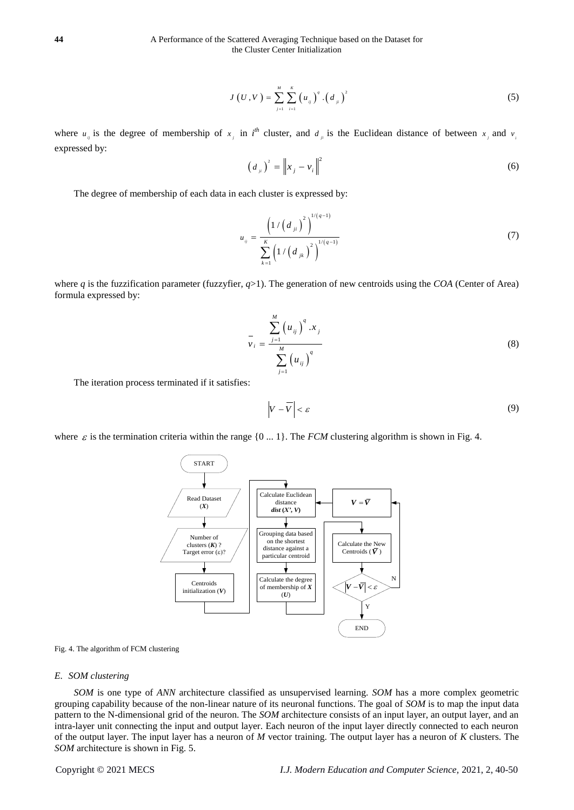$$
J(U, V) = \sum_{j=1}^{M} \sum_{i=1}^{K} (u_{ij})^{q} . (d_{ji})^{2}
$$
 (5)

where  $u_{ij}$  is the degree of membership of  $x_j$  in  $i^h$  cluster, and  $d_{ji}$  is the Euclidean distance of between  $x_j$  and  $v_j$ expressed by:

$$
\left(d_{ij}\right)^{2} = \left\|x_{j} - v_{i}\right\|^{2} \tag{6}
$$

The degree of membership of each data in each cluster is expressed by:

$$
u_{ij} = \frac{\left(1/\left(d_{ji}\right)^2\right)^{1/(q-1)}}{\sum_{k=1}^{K} \left(1/\left(d_{jk}\right)^2\right)^{1/(q-1)}}
$$
(7)

where *q* is the fuzzification parameter (fuzzyfier,  $q>1$ ). The generation of new centroids using the *COA* (Center of Area) formula expressed by:

$$
\overline{v}_{i} = \frac{\sum_{j=1}^{M} (u_{ij})^{q} x_{j}}{\sum_{j=1}^{M} (u_{ij})^{q}}
$$
(8)

The iteration process terminated if it satisfies:

$$
\left|V - \overline{V}\right| < \varepsilon \tag{9}
$$

where  $\varepsilon$  is the termination criteria within the range {0 ... 1}. The *FCM* clustering algorithm is shown i[n Fig. 4.](#page-4-0)



<span id="page-4-0"></span>

### *E. SOM clustering*

*SOM* is one type of *ANN* architecture classified as unsupervised learning. *SOM* has a more complex geometric grouping capability because of the non-linear nature of its neuronal functions. The goal of *SOM* is to map the input data pattern to the N-dimensional grid of the neuron. The *SOM* architecture consists of an input layer, an output layer, and an intra-layer unit connecting the input and output layer. Each neuron of the input layer directly connected to each neuron of the output layer. The input layer has a neuron of *M* vector training. The output layer has a neuron of *K* clusters. The *SOM* architecture is shown in [Fig. 5.](#page-5-0)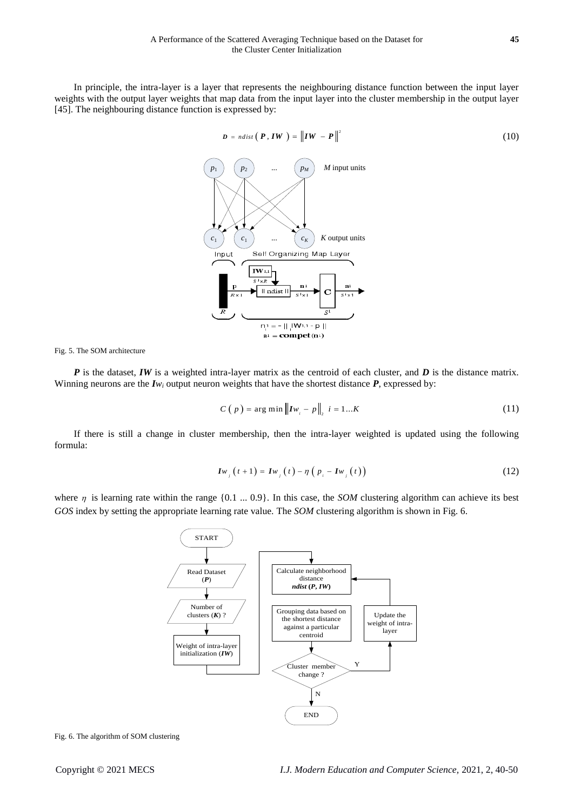In principle, the intra-layer is a layer that represents the neighbouring distance function between the input layer weights with the output layer weights that map data from the input layer into the cluster membership in the output layer [\[45\]](#page-9-10). The neighbouring distance function is expressed by:



<span id="page-5-0"></span>Fig. 5. The SOM architecture

*P* is the dataset, *IW* is a weighted intra-layer matrix as the centroid of each cluster, and *D* is the distance matrix. Winning neurons are the  $I_{W_i}$  output neuron weights that have the shortest distance  $P$ , expressed by:

$$
C(p) = \arg \min \| I w_i - p \|_2 \ i = 1...K \tag{11}
$$

If there is still a change in cluster membership, then the intra-layer weighted is updated using the following formula:

$$
Iw_{j}(t+1) = Iw_{j}(t) - \eta (p_{i} - Iw_{j}(t))
$$
\n(12)

where  $\eta$  is learning rate within the range  $\{0.1 \dots 0.9\}$ . In this case, the *SOM* clustering algorithm can achieve its best *GOS* index by setting the appropriate learning rate value. The *SOM* clustering algorithm is shown i[n Fig. 6.](#page-5-1)



<span id="page-5-1"></span>Fig. 6. The algorithm of SOM clustering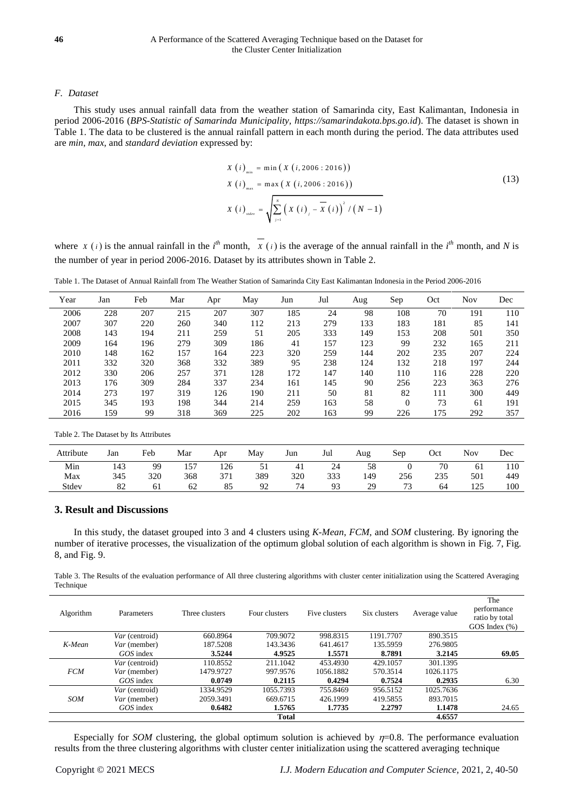# *F. Dataset*

This study uses annual rainfall data from the weather station of Samarinda city, East Kalimantan, Indonesia in period 2006-2016 (*BPS-Statistic of Samarinda Municipality, https://samarindakota.bps.go.id*). The dataset is shown in [Table 1.](#page-6-0) The data to be clustered is the annual rainfall pattern in each month during the period. The data attributes used are *min*, *max*, and *standard deviation* expressed by:

$$
X (i)_{\min} = \min (X (i, 2006 : 2016))
$$
  
\n
$$
X (i)_{\max} = \max (X (i, 2006 : 2016))
$$
  
\n
$$
X (i)_{\text{adv}} = \sqrt{\sum_{j=1}^{N} (X (i)_j - \overline{X} (i))^2 / (N - 1)}
$$
\n(13)

where  $X(i)$  is the annual rainfall in the *i*<sup>th</sup> month,  $X(i)$  is the average of the annual rainfall in the *i*<sup>th</sup> month, and *N* is the number of year in period 2006-2016. Dataset by its attributes shown in Table 2.

<span id="page-6-0"></span>Table 1. The Dataset of Annual Rainfall from The Weather Station of Samarinda City East Kalimantan Indonesia in the Period 2006-2016

| Year | Jan                                    | Feb | Mar | Apr | May | Jun | Jul | Aug | Sep          | Oct | <b>Nov</b> | Dec |
|------|----------------------------------------|-----|-----|-----|-----|-----|-----|-----|--------------|-----|------------|-----|
| 2006 | 228                                    | 207 | 215 | 207 | 307 | 185 | 24  | 98  | 108          | 70  | 191        | 110 |
| 2007 | 307                                    | 220 | 260 | 340 | 112 | 213 | 279 | 133 | 183          | 181 | 85         | 141 |
| 2008 | 143                                    | 194 | 211 | 259 | 51  | 205 | 333 | 149 | 153          | 208 | 501        | 350 |
| 2009 | 164                                    | 196 | 279 | 309 | 186 | 41  | 157 | 123 | 99           | 232 | 165        | 211 |
| 2010 | 148                                    | 162 | 157 | 164 | 223 | 320 | 259 | 144 | 202          | 235 | 207        | 224 |
| 2011 | 332                                    | 320 | 368 | 332 | 389 | 95  | 238 | 124 | 132          | 218 | 197        | 244 |
| 2012 | 330                                    | 206 | 257 | 371 | 128 | 172 | 147 | 140 | 110          | 116 | 228        | 220 |
| 2013 | 176                                    | 309 | 284 | 337 | 234 | 161 | 145 | 90  | 256          | 223 | 363        | 276 |
| 2014 | 273                                    | 197 | 319 | 126 | 190 | 211 | 50  | 81  | 82           | 111 | 300        | 449 |
| 2015 | 345                                    | 193 | 198 | 344 | 214 | 259 | 163 | 58  | $\mathbf{0}$ | 73  | 61         | 191 |
| 2016 | 159                                    | 99  | 318 | 369 | 225 | 202 | 163 | 99  | 226          | 175 | 292        | 357 |
|      | Table 2. The Dataset by Its Attributes |     |     |     |     |     |     |     |              |     |            |     |

| Attribute | Jan | Feb | Mar | Apr | May | Jun | Jul            | Aug | Sep | Oct | <b>Nov</b> | Dec |
|-----------|-----|-----|-----|-----|-----|-----|----------------|-----|-----|-----|------------|-----|
| Min       | 143 | 99  | 157 | 126 | 51  | -41 | 24             | 58  |     | 70  | 61         | 110 |
| Max       | 345 | 320 | 368 | 371 | 389 | 320 | 333            | 149 | 256 | 235 | 501        | 449 |
| Stdev     | 82  | 61  | 62  | 85  | 92  | 74  | Q <sub>2</sub> | 29  | 73  | 64  | 125        | 100 |

# **3. Result and Discussions**

In this study, the dataset grouped into 3 and 4 clusters using *K-Mean*, *FCM*, and *SOM* clustering. By ignoring the number of iterative processes, the visualization of the optimum global solution of each algorithm is shown in [Fig. 7,](#page-7-0) [Fig.](#page-7-1)  [8,](#page-7-1) an[d Fig. 9.](#page-7-2)

Table 3. The Results of the evaluation performance of All three clustering algorithms with cluster center initialization using the Scattered Averaging Technique

| Algorithm  | Parameters     | Three clusters | Four clusters | Five clusters | Six clusters | Average value | The<br>performance<br>ratio by total<br>GOS Index (%) |
|------------|----------------|----------------|---------------|---------------|--------------|---------------|-------------------------------------------------------|
|            | Var (centroid) | 660.8964       | 709.9072      | 998.8315      | 1191.7707    | 890.3515      |                                                       |
| K-Mean     | Var (member)   | 187.5208       | 143.3436      | 641.4617      | 135.5959     | 276.9805      |                                                       |
|            | GOS index      | 3.5244         | 4.9525        | 1.5571        | 8.7891       | 3.2145        | 69.05                                                 |
|            | Var (centroid) | 110.8552       | 211.1042      | 453.4930      | 429.1057     | 301.1395      |                                                       |
| <b>FCM</b> | Var (member)   | 1479.9727      | 997.9576      | 1056.1882     | 570.3514     | 1026.1175     |                                                       |
|            | GOS index      | 0.0749         | 0.2115        | 0.4294        | 0.7524       | 0.2935        | 6.30                                                  |
|            | Var (centroid) | 1334.9529      | 1055.7393     | 755.8469      | 956.5152     | 1025.7636     |                                                       |
| <b>SOM</b> | Var (member)   | 2059.3491      |               | 426.1999      | 419.5855     | 893.7015      |                                                       |
|            | GOS index      | 0.6482         | 1.5765        | 1.7735        | 2.2797       | 1.1478        | 24.65                                                 |
|            |                |                | <b>Total</b>  |               |              | 4.6557        |                                                       |

Especially for *SOM* clustering, the global optimum solution is achieved by  $n=0.8$ . The performance evaluation results from the three clustering algorithms with cluster center initialization using the scattered averaging technique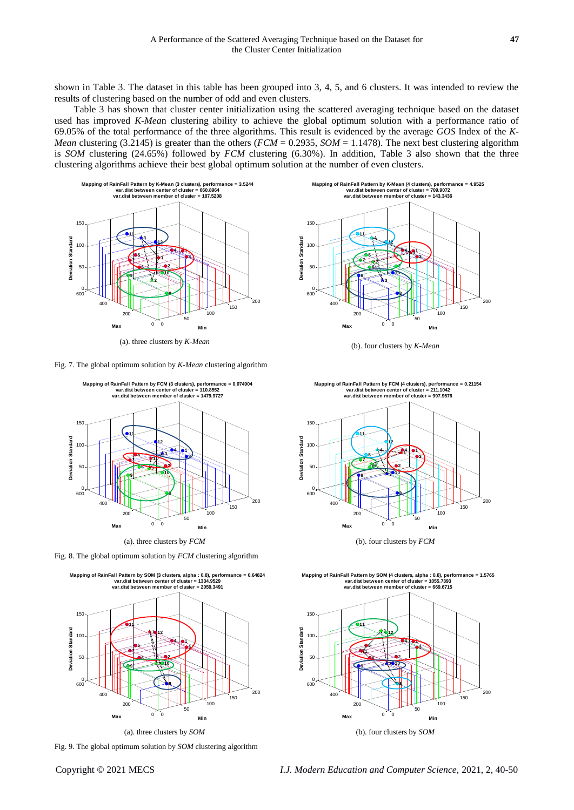shown in Table 3. The dataset in this table has been grouped into 3, 4, 5, and 6 clusters. It was intended to review the results of clustering based on the number of odd and even clusters.

Table 3 has shown that cluster center initialization using the scattered averaging technique based on the dataset used has improved *K-Mea*n clustering ability to achieve the global optimum solution with a performance ratio of 69.05% of the total performance of the three algorithms. This result is evidenced by the average *GOS* Index of the *K-Mean* clustering (3.2145) is greater than the others ( $FCM = 0.2935$ ,  $SOM = 1.1478$ ). The next best clustering algorithm is *SOM* clustering (24.65%) followed by *FCM* clustering (6.30%). In addition, Table 3 also shown that the three clustering algorithms achieve their best global optimum solution at the number of even clusters.



(a). three clusters by *K-Mean* (b). four clusters by *K-Mean*

<span id="page-7-0"></span>Fig. 7. The global optimum solution by *K-Mean* clustering algorithm



<span id="page-7-1"></span>Fig. 8. The global optimum solution by *FCM* clustering algorithm



<span id="page-7-2"></span>Fig. 9. The global optimum solution by *SOM* clustering algorithm

0 50 100 150 200 0  $200$ 400 600 0 50  $100$ 150 **Min 3 1 1 4 Mapping of RainFall Pattern by K-Mean (4 clusters), performance = 4.9525 var.dist between center of cluster = 709.9072 var.dist between member of cluster = 143.3436 8 2 10 12 3 2 4 6 5 7 9 11 Max Deviation Standard**



Mapping of RainFall Pattern by SOM (4 clusters, alpha : 0.8), performance = 1.5765<br>var.dist between center of cluster = 1055.7393<br>var.dist between member of cluster = 669.6715

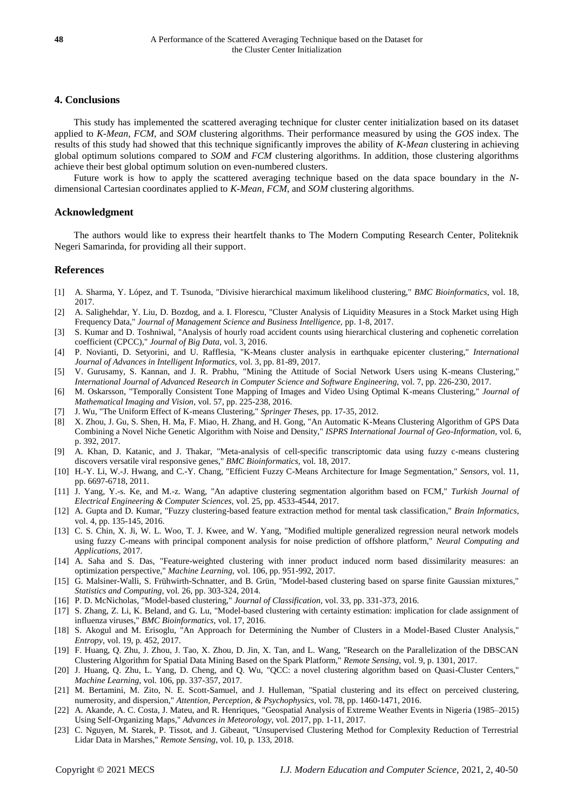# **4. Conclusions**

This study has implemented the scattered averaging technique for cluster center initialization based on its dataset applied to *K-Mean*, *FCM*, and *SOM* clustering algorithms. Their performance measured by using the *GOS* index. The results of this study had showed that this technique significantly improves the ability of *K-Mean* clustering in achieving global optimum solutions compared to *SOM* and *FCM* clustering algorithms. In addition, those clustering algorithms achieve their best global optimum solution on even-numbered clusters.

Future work is how to apply the scattered averaging technique based on the data space boundary in the *N*dimensional Cartesian coordinates applied to *K-Mean*, *FCM*, and *SOM* clustering algorithms.

# **Acknowledgment**

The authors would like to express their heartfelt thanks to The Modern Computing Research Center, Politeknik Negeri Samarinda, for providing all their support.

# **References**

- <span id="page-8-0"></span>[1] A. Sharma, Y. López, and T. Tsunoda, "Divisive hierarchical maximum likelihood clustering," *BMC Bioinformatics,* vol. 18, 2017.
- [2] A. Salighehdar, Y. Liu, D. Bozdog, and a. I. Florescu, "Cluster Analysis of Liquidity Measures in a Stock Market using High Frequency Data," *Journal of Management Science and Business Intelligence,* pp. 1-8, 2017.
- [3] S. Kumar and D. Toshniwal, "Analysis of hourly road accident counts using hierarchical clustering and cophenetic correlation coefficient (CPCC)," *Journal of Big Data,* vol. 3, 2016.
- <span id="page-8-1"></span>[4] P. Novianti, D. Setyorini, and U. Rafflesia, "K-Means cluster analysis in earthquake epicenter clustering," *International Journal of Advances in Intelligent Informatics,* vol. 3, pp. 81-89, 2017.
- <span id="page-8-2"></span>[5] V. Gurusamy, S. Kannan, and J. R. Prabhu, "Mining the Attitude of Social Network Users using K-means Clustering," *International Journal of Advanced Research in Computer Science and Software Engineering,* vol. 7, pp. 226-230, 2017.
- <span id="page-8-3"></span>[6] M. Oskarsson, "Temporally Consistent Tone Mapping of Images and Video Using Optimal K-means Clustering," *Journal of Mathematical Imaging and Vision,* vol. 57, pp. 225-238, 2016.
- <span id="page-8-4"></span>[7] J. Wu, "The Uniform Effect of K-means Clustering," *Springer Theses,* pp. 17-35, 2012.
- <span id="page-8-5"></span>[8] X. Zhou, J. Gu, S. Shen, H. Ma, F. Miao, H. Zhang, and H. Gong, "An Automatic K-Means Clustering Algorithm of GPS Data Combining a Novel Niche Genetic Algorithm with Noise and Density," *ISPRS International Journal of Geo-Information,* vol. 6, p. 392, 2017.
- <span id="page-8-6"></span>[9] A. Khan, D. Katanic, and J. Thakar, "Meta-analysis of cell-specific transcriptomic data using fuzzy c-means clustering discovers versatile viral responsive genes," *BMC Bioinformatics,* vol. 18, 2017.
- <span id="page-8-7"></span>[10] H.-Y. Li, W.-J. Hwang, and C.-Y. Chang, "Efficient Fuzzy C-Means Architecture for Image Segmentation," *Sensors,* vol. 11, pp. 6697-6718, 2011.
- <span id="page-8-8"></span>[11] J. Yang, Y.-s. Ke, and M.-z. Wang, "An adaptive clustering segmentation algorithm based on FCM," *Turkish Journal of Electrical Engineering & Computer Sciences,* vol. 25, pp. 4533-4544, 2017.
- <span id="page-8-9"></span>[12] A. Gupta and D. Kumar, "Fuzzy clustering-based feature extraction method for mental task classification," *Brain Informatics,*  vol. 4, pp. 135-145, 2016.
- <span id="page-8-10"></span>[13] C. S. Chin, X. Ji, W. L. Woo, T. J. Kwee, and W. Yang, "Modified multiple generalized regression neural network models using fuzzy C-means with principal component analysis for noise prediction of offshore platform," *Neural Computing and Applications,* 2017.
- <span id="page-8-11"></span>[14] A. Saha and S. Das, "Feature-weighted clustering with inner product induced norm based dissimilarity measures: an optimization perspective," *Machine Learning,* vol. 106, pp. 951-992, 2017.
- <span id="page-8-12"></span>[15] G. Malsiner-Walli, S. Frühwirth-Schnatter, and B. Grün, "Model-based clustering based on sparse finite Gaussian mixtures," *Statistics and Computing,* vol. 26, pp. 303-324, 2014.
- [16] P. D. McNicholas, "Model-based clustering," *Journal of Classification,* vol. 33, pp. 331-373, 2016.
- [17] S. Zhang, Z. Li, K. Beland, and G. Lu, "Model-based clustering with certainty estimation: implication for clade assignment of influenza viruses," *BMC Bioinformatics,* vol. 17, 2016.
- [18] S. Akogul and M. Erisoglu, "An Approach for Determining the Number of Clusters in a Model-Based Cluster Analysis," *Entropy,* vol. 19, p. 452, 2017.
- <span id="page-8-13"></span>[19] F. Huang, Q. Zhu, J. Zhou, J. Tao, X. Zhou, D. Jin, X. Tan, and L. Wang, "Research on the Parallelization of the DBSCAN Clustering Algorithm for Spatial Data Mining Based on the Spark Platform," *Remote Sensing,* vol. 9, p. 1301, 2017.
- <span id="page-8-14"></span>[20] J. Huang, Q. Zhu, L. Yang, D. Cheng, and Q. Wu, "QCC: a novel clustering algorithm based on Quasi-Cluster Centers," *Machine Learning,* vol. 106, pp. 337-357, 2017.
- <span id="page-8-15"></span>[21] M. Bertamini, M. Zito, N. E. Scott-Samuel, and J. Hulleman, "Spatial clustering and its effect on perceived clustering, numerosity, and dispersion," *Attention, Perception, & Psychophysics,* vol. 78, pp. 1460-1471, 2016.
- <span id="page-8-16"></span>[22] A. Akande, A. C. Costa, J. Mateu, and R. Henriques, "Geospatial Analysis of Extreme Weather Events in Nigeria (1985–2015) Using Self-Organizing Maps," *Advances in Meteorology,* vol. 2017, pp. 1-11, 2017.
- <span id="page-8-17"></span>[23] C. Nguyen, M. Starek, P. Tissot, and J. Gibeaut, "Unsupervised Clustering Method for Complexity Reduction of Terrestrial Lidar Data in Marshes," *Remote Sensing,* vol. 10, p. 133, 2018.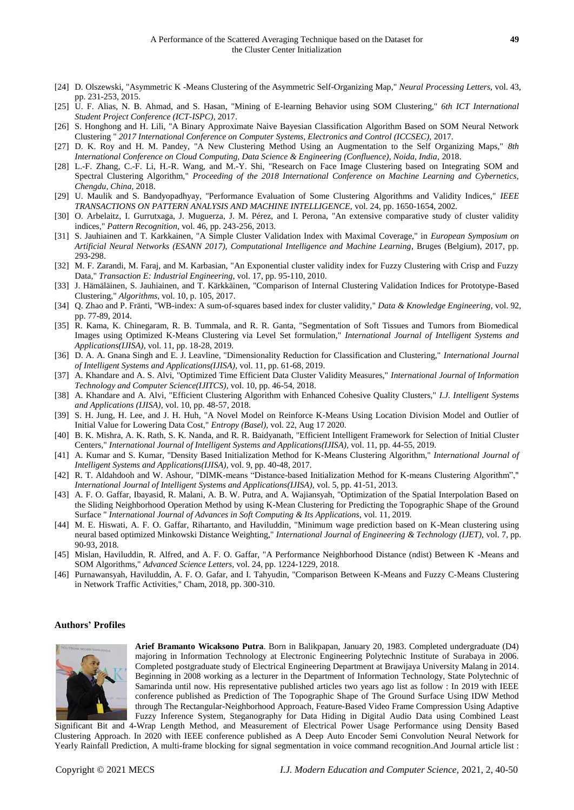- <span id="page-9-0"></span>[24] D. Olszewski, "Asymmetric K -Means Clustering of the Asymmetric Self-Organizing Map," *Neural Processing Letters,* vol. 43, pp. 231-253, 2015.
- <span id="page-9-1"></span>[25] U. F. Alias, N. B. Ahmad, and S. Hasan, "Mining of E-learning Behavior using SOM Clustering," *6th ICT International Student Project Conference (ICT-ISPC),* 2017.
- [26] S. Honghong and H. Lili, "A Binary Approximate Naive Bayesian Classification Algorithm Based on SOM Neural Network Clustering " *2017 International Conference on Computer Systems, Electronics and Control (ICCSEC),* 2017.
- [27] D. K. Roy and H. M. Pandey, "A New Clustering Method Using an Augmentation to the Self Organizing Maps," *8th International Conference on Cloud Computing, Data Science & Engineering (Confluence), Noida, India,* 2018.
- [28] L.-F. Zhang, C.-F. Li, H.-R. Wang, and M.-Y. Shi, "Research on Face Image Clustering based on Integrating SOM and Spectral Clustering Algorithm," *Proceeding of the 2018 International Conference on Machine Learning and Cybernetics, Chengdu, China,* 2018.
- <span id="page-9-2"></span>[29] U. Maulik and S. Bandyopadhyay, "Performance Evaluation of Some Clustering Algorithms and Validity Indices," *IEEE TRANSACTIONS ON PATTERN ANALYSIS AND MACHINE INTELLIGENCE,* vol. 24, pp. 1650-1654, 2002.
- [30] O. Arbelaitz, I. Gurrutxaga, J. Muguerza, J. M. Pérez, and I. Perona, "An extensive comparative study of cluster validity indices," *Pattern Recognition,* vol. 46, pp. 243-256, 2013.
- [31] S. Jauhiainen and T. Karkkainen, "A Simple Cluster Validation Index with Maximal Coverage," in *European Symposium on Artificial Neural Networks (ESANN 2017), Computational Intelligence and Machine Learning*, Bruges (Belgium), 2017, pp. 293-298.
- <span id="page-9-3"></span>[32] M. F. Zarandi, M. Faraj, and M. Karbasian, "An Exponential cluster validity index for Fuzzy Clustering with Crisp and Fuzzy Data," *Transaction E: Industrial Engineering,* vol. 17, pp. 95-110, 2010.
- <span id="page-9-4"></span>[33] J. Hämäläinen, S. Jauhiainen, and T. Kärkkäinen, "Comparison of Internal Clustering Validation Indices for Prototype-Based Clustering," *Algorithms,* vol. 10, p. 105, 2017.
- <span id="page-9-5"></span>[34] Q. Zhao and P. Fränti, "WB-index: A sum-of-squares based index for cluster validity," *Data & Knowledge Engineering,* vol. 92, pp. 77-89, 2014.
- <span id="page-9-6"></span>[35] R. Kama, K. Chinegaram, R. B. Tummala, and R. R. Ganta, "Segmentation of Soft Tissues and Tumors from Biomedical Images using Optimized K-Means Clustering via Level Set formulation," *International Journal of Intelligent Systems and Applications(IJISA),* vol. 11, pp. 18-28, 2019.
- [36] D. A. A. Gnana Singh and E. J. Leavline, "Dimensionality Reduction for Classification and Clustering," *International Journal of Intelligent Systems and Applications(IJISA),* vol. 11, pp. 61-68, 2019.
- [37] A. Khandare and A. S. Alvi, "Optimized Time Efficient Data Cluster Validity Measures," *International Journal of Information Technology and Computer Science(IJITCS),* vol. 10, pp. 46-54, 2018.
- [38] A. Khandare and A. Alvi, "Efficient Clustering Algorithm with Enhanced Cohesive Quality Clusters," *I.J. Intelligent Systems and Applications (IJISA),* vol. 10, pp. 48-57, 2018.
- <span id="page-9-7"></span>[39] S. H. Jung, H. Lee, and J. H. Huh, "A Novel Model on Reinforce K-Means Using Location Division Model and Outlier of Initial Value for Lowering Data Cost," *Entropy (Basel),* vol. 22, Aug 17 2020.
- [40] B. K. Mishra, A. K. Rath, S. K. Nanda, and R. R. Baidyanath, "Efficient Intelligent Framework for Selection of Initial Cluster Centers," *International Journal of Intelligent Systems and Applications(IJISA),* vol. 11, pp. 44-55, 2019.
- [41] A. Kumar and S. Kumar, "Density Based Initialization Method for K-Means Clustering Algorithm," *International Journal of Intelligent Systems and Applications(IJISA),* vol. 9, pp. 40-48, 2017.
- [42] R. T. Aldahdooh and W. Ashour, "DIMK-means "Distance-based Initialization Method for K-means Clustering Algorithm"," *International Journal of Intelligent Systems and Applications(IJISA),* vol. 5, pp. 41-51, 2013.
- <span id="page-9-8"></span>[43] A. F. O. Gaffar, Ibayasid, R. Malani, A. B. W. Putra, and A. Wajiansyah, "Optimization of the Spatial Interpolation Based on the Sliding Neighborhood Operation Method by using K-Mean Clustering for Predicting the Topographic Shape of the Ground Surface " *International Journal of Advances in Soft Computing & Its Applications,* vol. 11, 2019.
- [44] M. E. Hiswati, A. F. O. Gaffar, Rihartanto, and Haviluddin, "Minimum wage prediction based on K-Mean clustering using neural based optimized Minkowski Distance Weighting," *International Journal of Engineering & Technology (IJET),* vol. 7, pp. 90-93, 2018.
- <span id="page-9-10"></span>[45] Mislan, Haviluddin, R. Alfred, and A. F. O. Gaffar, "A Performance Neighborhood Distance (ndist) Between K -Means and SOM Algorithms," *Advanced Science Letters,* vol. 24, pp. 1224-1229, 2018.
- <span id="page-9-9"></span>[46] Purnawansyah, Haviluddin, A. F. O. Gafar, and I. Tahyudin, "Comparison Between K-Means and Fuzzy C-Means Clustering in Network Traffic Activities," Cham, 2018, pp. 300-310.

# **Authors' Profiles**



**Arief Bramanto Wicaksono Putra**. Born in Balikpapan, January 20, 1983. Completed undergraduate (D4) majoring in Information Technology at Electronic Engineering Polytechnic Institute of Surabaya in 2006. Completed postgraduate study of Electrical Engineering Department at Brawijaya University Malang in 2014. Beginning in 2008 working as a lecturer in the Department of Information Technology, State Polytechnic of Samarinda until now. His representative published articles two years ago list as follow : In 2019 with IEEE conference published as [Prediction of The Topographic Shape of The Ground Surface Using IDW Method](javascript:void(0))  [through The Rectangular-Neighborhood Approach, Feature-Based Video Frame Compression Using Adaptive](javascript:void(0))  [Fuzzy Inference System,](javascript:void(0)) [Steganography for Data Hiding in Digital Audio Data using Combined Least](javascript:void(0)) 

[Significant Bit and 4-Wrap Length Method,](javascript:void(0)) and [Measurement of Electrical Power Usage Performance using Density Based](javascript:void(0))  [Clustering Approach.](javascript:void(0)) In 2020 with IEEE conference published as [A Deep Auto Encoder Semi Convolution Neural Network for](https://ieeexplore.ieee.org/abstract/document/9163775/)  [Yearly Rainfall Prediction,](https://ieeexplore.ieee.org/abstract/document/9163775/) [A multi-frame blocking for signal segmentation in voice command recognition.](https://ieeexplore.ieee.org/abstract/document/9163761/)And Journal article list :